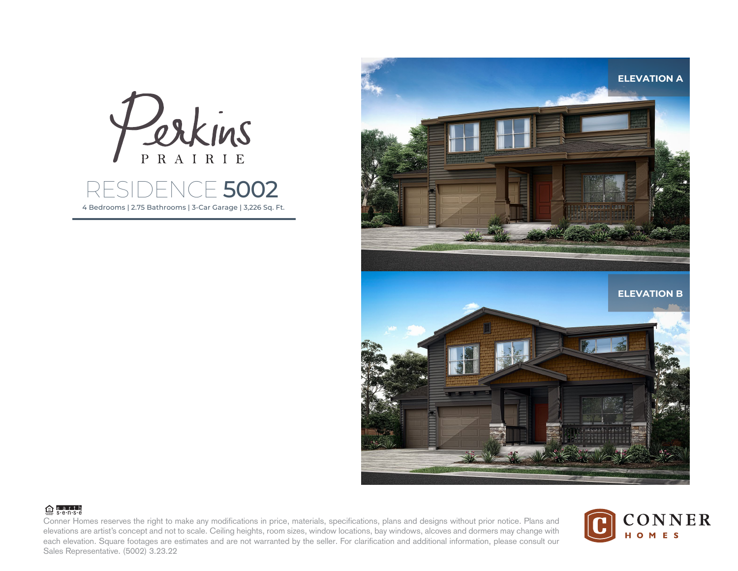

4 Bedrooms | 2.75 Bathrooms | 3-Car Garage | 3,226 Sq. Ft.



## $@<sub>s</sub>$  e.g.r.t.h

Conner Homes reserves the right to make any modifications in price, materials, specifications, plans and designs without prior notice. Plans and elevations are artist's concept and not to scale. Ceiling heights, room sizes, window locations, bay windows, alcoves and dormers may change with each elevation. Square footages are estimates and are not warranted by the seller. For clarification and additional information, please consult our Sales Representative. (5002) 3.23.22